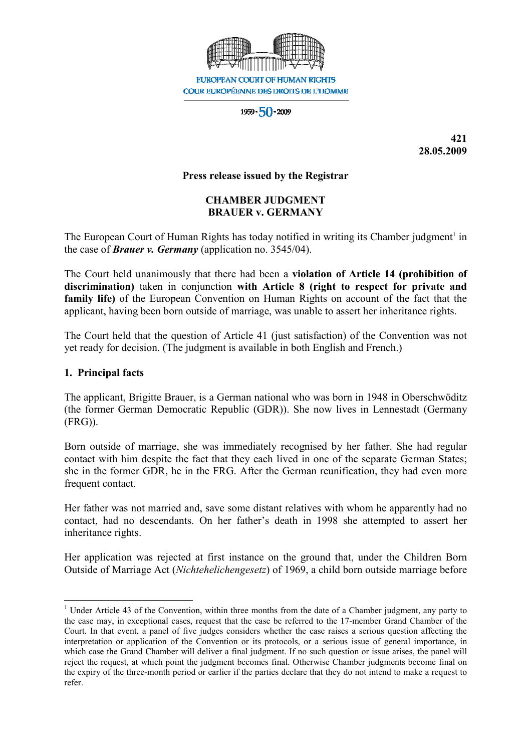

 $1959 \cdot 50 \cdot 2009$ 

**421 28.05.2009** 

#### **Press release issued by the Registrar**

# **CHAMBER JUDGMENT BRAUER v. GERMANY**

The European Court of Human Rights has today notified in writing its Chamber judgment<sup>1</sup> in the case of *Brauer v. Germany* (application no. 3545/04).

The Court held unanimously that there had been a **violation of Article 14 (prohibition of discrimination)** taken in conjunction **with Article 8 (right to respect for private and family life)** of the European Convention on Human Rights on account of the fact that the applicant, having been born outside of marriage, was unable to assert her inheritance rights.

The Court held that the question of Article 41 (just satisfaction) of the Convention was not yet ready for decision. (The judgment is available in both English and French.)

#### **1. Principal facts**

The applicant, Brigitte Brauer, is a German national who was born in 1948 in Oberschwöditz (the former German Democratic Republic (GDR)). She now lives in Lennestadt (Germany (FRG)).

Born outside of marriage, she was immediately recognised by her father. She had regular contact with him despite the fact that they each lived in one of the separate German States; she in the former GDR, he in the FRG. After the German reunification, they had even more frequent contact.

Her father was not married and, save some distant relatives with whom he apparently had no contact, had no descendants. On her father's death in 1998 she attempted to assert her inheritance rights.

Her application was rejected at first instance on the ground that, under the Children Born Outside of Marriage Act (*Nichtehelichengesetz*) of 1969, a child born outside marriage before

 $\overline{a}$ <sup>1</sup> Under Article 43 of the Convention, within three months from the date of a Chamber judgment, any party to the case may, in exceptional cases, request that the case be referred to the 17-member Grand Chamber of the Court. In that event, a panel of five judges considers whether the case raises a serious question affecting the interpretation or application of the Convention or its protocols, or a serious issue of general importance, in which case the Grand Chamber will deliver a final judgment. If no such question or issue arises, the panel will reject the request, at which point the judgment becomes final. Otherwise Chamber judgments become final on the expiry of the three-month period or earlier if the parties declare that they do not intend to make a request to refer.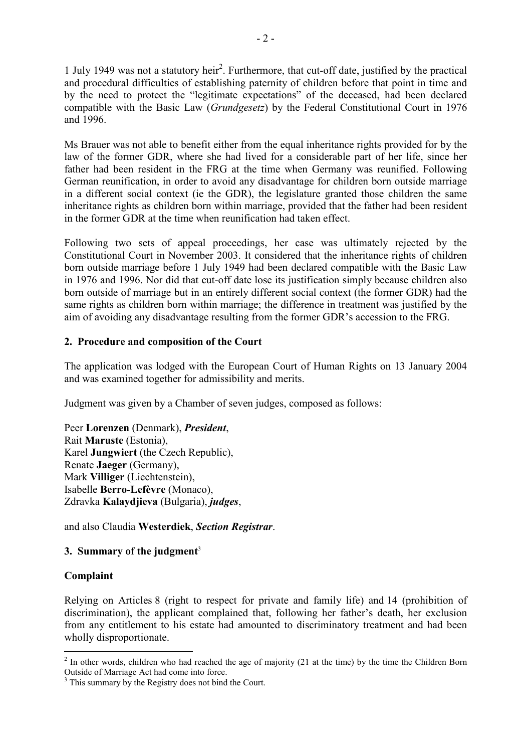1 July 1949 was not a statutory heir<sup>2</sup>. Furthermore, that cut-off date, justified by the practical and procedural difficulties of establishing paternity of children before that point in time and by the need to protect the "legitimate expectations" of the deceased, had been declared compatible with the Basic Law (*Grundgesetz*) by the Federal Constitutional Court in 1976 and 1996.

Ms Brauer was not able to benefit either from the equal inheritance rights provided for by the law of the former GDR, where she had lived for a considerable part of her life, since her father had been resident in the FRG at the time when Germany was reunified. Following German reunification, in order to avoid any disadvantage for children born outside marriage in a different social context (ie the GDR), the legislature granted those children the same inheritance rights as children born within marriage, provided that the father had been resident in the former GDR at the time when reunification had taken effect.

Following two sets of appeal proceedings, her case was ultimately rejected by the Constitutional Court in November 2003. It considered that the inheritance rights of children born outside marriage before 1 July 1949 had been declared compatible with the Basic Law in 1976 and 1996. Nor did that cut-off date lose its justification simply because children also born outside of marriage but in an entirely different social context (the former GDR) had the same rights as children born within marriage; the difference in treatment was justified by the aim of avoiding any disadvantage resulting from the former GDR's accession to the FRG.

## **2. Procedure and composition of the Court**

The application was lodged with the European Court of Human Rights on 13 January 2004 and was examined together for admissibility and merits.

Judgment was given by a Chamber of seven judges, composed as follows:

Peer **Lorenzen** (Denmark), *President*, Rait **Maruste** (Estonia), Karel **Jungwiert** (the Czech Republic), Renate **Jaeger** (Germany), Mark **Villiger** (Liechtenstein), Isabelle **Berro-Lefèvre** (Monaco), Zdravka **Kalaydjieva** (Bulgaria), *judges*,

and also Claudia **Westerdiek**, *Section Registrar*.

## **3. Summary of the judgment**<sup>3</sup>

## **Complaint**

Relying on Articles 8 (right to respect for private and family life) and 14 (prohibition of discrimination), the applicant complained that, following her father's death, her exclusion from any entitlement to his estate had amounted to discriminatory treatment and had been wholly disproportionate.

<sup>&</sup>lt;sup>2</sup> In other words, children who had reached the age of majority (21 at the time) by the time the Children Born Outside of Marriage Act had come into force.

<sup>&</sup>lt;sup>3</sup> This summary by the Registry does not bind the Court.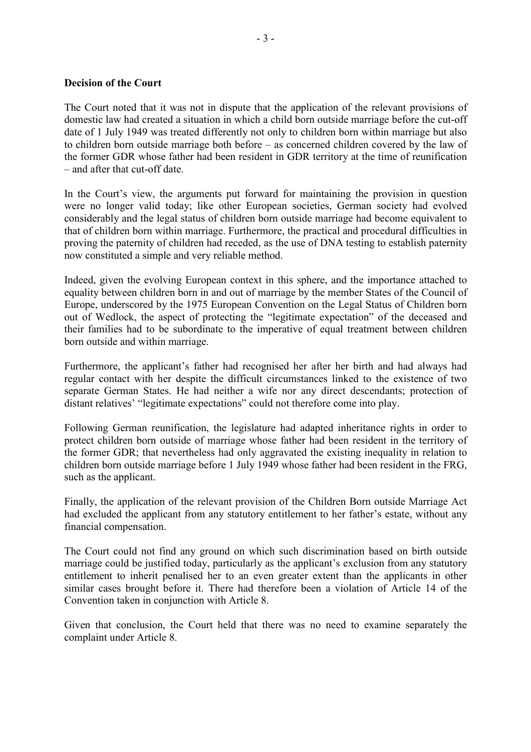#### **Decision of the Court**

The Court noted that it was not in dispute that the application of the relevant provisions of domestic law had created a situation in which a child born outside marriage before the cut-off date of 1 July 1949 was treated differently not only to children born within marriage but also to children born outside marriage both before – as concerned children covered by the law of the former GDR whose father had been resident in GDR territory at the time of reunification – and after that cut-off date.

In the Court's view, the arguments put forward for maintaining the provision in question were no longer valid today; like other European societies, German society had evolved considerably and the legal status of children born outside marriage had become equivalent to that of children born within marriage. Furthermore, the practical and procedural difficulties in proving the paternity of children had receded, as the use of DNA testing to establish paternity now constituted a simple and very reliable method.

Indeed, given the evolving European context in this sphere, and the importance attached to equality between children born in and out of marriage by the member States of the Council of Europe, underscored by the 1975 European Convention on the Legal Status of Children born out of Wedlock, the aspect of protecting the "legitimate expectation" of the deceased and their families had to be subordinate to the imperative of equal treatment between children born outside and within marriage.

Furthermore, the applicant's father had recognised her after her birth and had always had regular contact with her despite the difficult circumstances linked to the existence of two separate German States. He had neither a wife nor any direct descendants; protection of distant relatives' "legitimate expectations" could not therefore come into play.

Following German reunification, the legislature had adapted inheritance rights in order to protect children born outside of marriage whose father had been resident in the territory of the former GDR; that nevertheless had only aggravated the existing inequality in relation to children born outside marriage before 1 July 1949 whose father had been resident in the FRG, such as the applicant.

Finally, the application of the relevant provision of the Children Born outside Marriage Act had excluded the applicant from any statutory entitlement to her father's estate, without any financial compensation.

The Court could not find any ground on which such discrimination based on birth outside marriage could be justified today, particularly as the applicant's exclusion from any statutory entitlement to inherit penalised her to an even greater extent than the applicants in other similar cases brought before it. There had therefore been a violation of Article 14 of the Convention taken in conjunction with Article 8.

Given that conclusion, the Court held that there was no need to examine separately the complaint under Article 8.